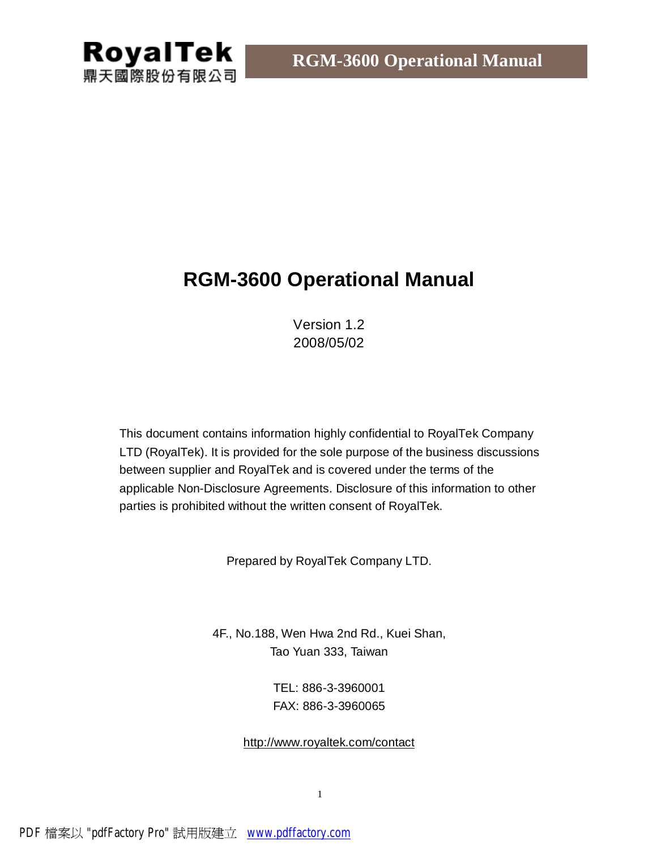# **RGM-3600 Operational Manual**

Version 1.2 2008/05/02

This document contains information highly confidential to RoyalTek Company LTD (RoyalTek). It is provided for the sole purpose of the business discussions between supplier and RoyalTek and is covered under the terms of the applicable Non-Disclosure Agreements. Disclosure of this information to other parties is prohibited without the written consent of RoyalTek.

Prepared by RoyalTek Company LTD.

4F., No.188, Wen Hwa 2nd Rd., Kuei Shan, Tao Yuan 333, Taiwan

> TEL: 886-3-3960001 FAX: 886-3-3960065

### <http://www.royaltek.com/contact>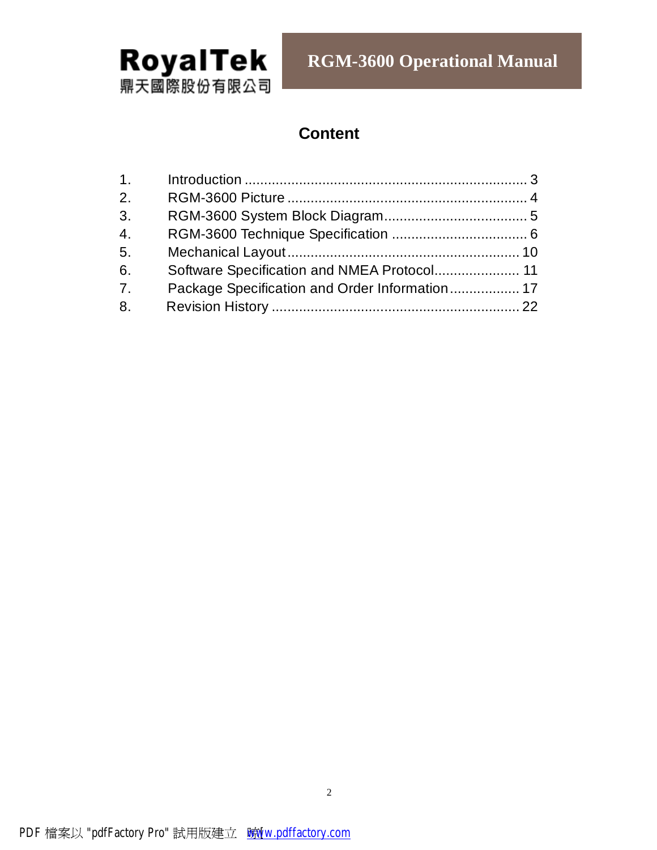

**RGM-3600 Operational Manual** 

# **Content**

| 1.             |                                             |  |
|----------------|---------------------------------------------|--|
| 2.             |                                             |  |
| 3 <sub>1</sub> |                                             |  |
| 4.             |                                             |  |
| 5.             |                                             |  |
| 6.             | Software Specification and NMEA Protocol 11 |  |
| 7 <sub>1</sub> |                                             |  |
| 8.             |                                             |  |
|                |                                             |  |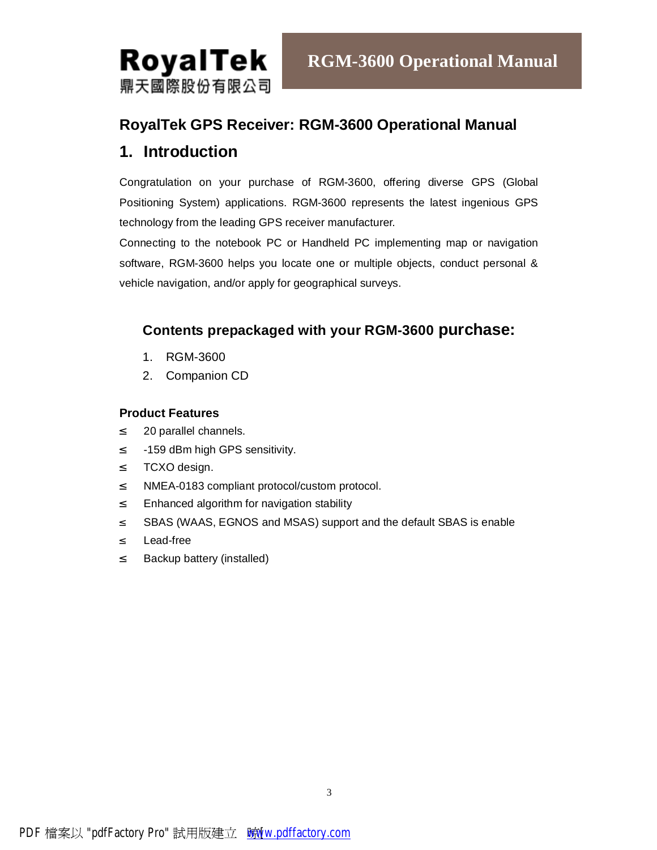

# **RoyalTek GPS Receiver: RGM-3600 Operational Manual**

# **1. Introduction**

Congratulation on your purchase of RGM-3600, offering diverse GPS (Global Positioning System) applications. RGM-3600 represents the latest ingenious GPS technology from the leading GPS receiver manufacturer.

Connecting to the notebook PC or Handheld PC implementing map or navigation software, RGM-3600 helps you locate one or multiple objects, conduct personal & vehicle navigation, and/or apply for geographical surveys.

# **Contents prepackaged with your RGM-3600 purchase:**

- 1. RGM-3600
- 2. Companion CD

#### **Product Features**

- ² 20 parallel channels.
- ² -159 dBm high GPS sensitivity.
- ² TCXO design.
- ² NMEA-0183 compliant protocol/custom protocol.
- ² Enhanced algorithm for navigation stability
- <sup>2</sup> SBAS (WAAS, EGNOS and MSAS) support and the default SBAS is enable
- ² Lead-free
- ² Backup battery (installed)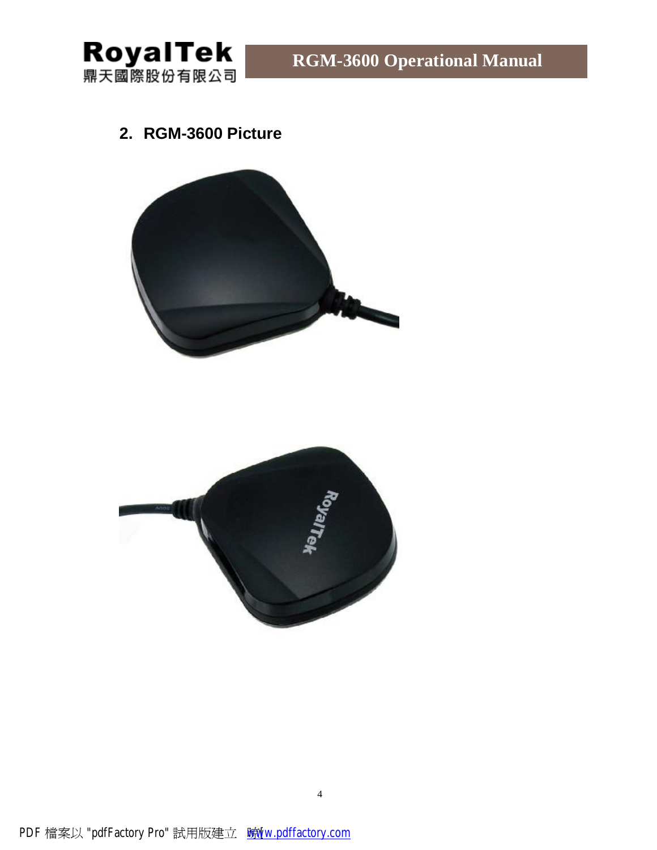

# **2. RGM-3600 Picture**



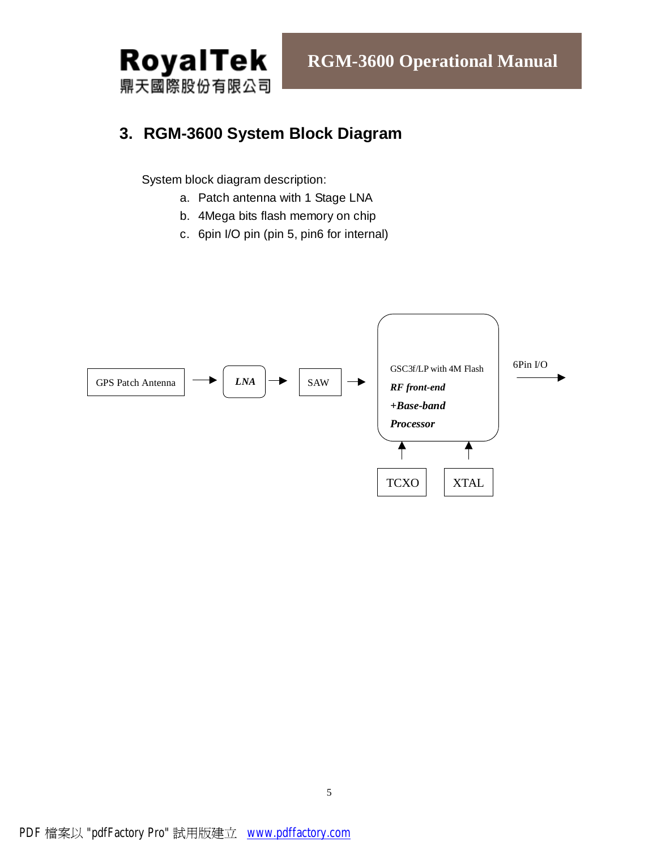

# **3. RGM-3600 System Block Diagram**

System block diagram description:

- a. Patch antenna with 1 Stage LNA
- b. 4Mega bits flash memory on chip
- c. 6pin I/O pin (pin 5, pin6 for internal)

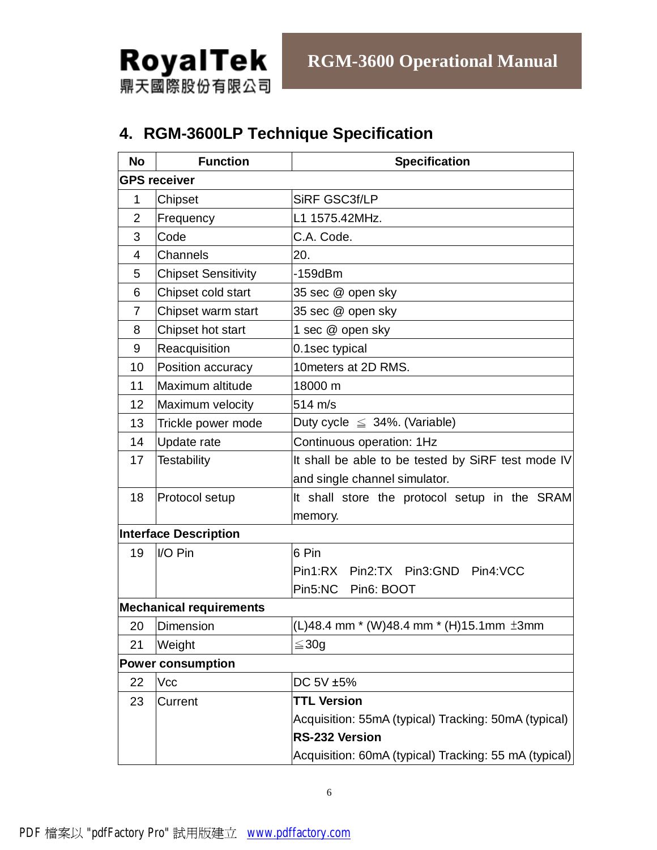

# **4. RGM-3600LP Technique Specification**

| <b>No</b>      | <b>Function</b>                | <b>Specification</b>                                  |  |  |
|----------------|--------------------------------|-------------------------------------------------------|--|--|
|                | <b>GPS receiver</b>            |                                                       |  |  |
| 1              | Chipset                        | SiRF GSC3f/LP                                         |  |  |
| $\overline{2}$ | Frequency                      | L1 1575.42MHz.                                        |  |  |
| 3              | Code                           | C.A. Code.                                            |  |  |
| $\overline{4}$ | Channels                       | 20.                                                   |  |  |
| 5              | <b>Chipset Sensitivity</b>     | $-159$ d $Bm$                                         |  |  |
| 6              | Chipset cold start             | 35 sec @ open sky                                     |  |  |
| $\overline{7}$ | Chipset warm start             | 35 sec @ open sky                                     |  |  |
| 8              | Chipset hot start              | 1 sec @ open sky                                      |  |  |
| 9              | Reacquisition                  | 0.1sec typical                                        |  |  |
| 10             | Position accuracy              | 10 meters at 2D RMS.                                  |  |  |
| 11             | Maximum altitude               | 18000 m                                               |  |  |
| 12             | Maximum velocity               | 514 m/s                                               |  |  |
| 13             | Trickle power mode             | Duty cycle $\leq$ 34%. (Variable)                     |  |  |
| 14             | Update rate                    | Continuous operation: 1Hz                             |  |  |
| 17             | <b>Testability</b>             | It shall be able to be tested by SiRF test mode IV    |  |  |
|                |                                | and single channel simulator.                         |  |  |
| 18             | Protocol setup                 | It shall store the protocol setup in the SRAM         |  |  |
|                |                                | memory.                                               |  |  |
|                | <b>Interface Description</b>   |                                                       |  |  |
| 19             | I/O Pin                        | 6 Pin                                                 |  |  |
|                |                                | Pin1:RX Pin2:TX Pin3:GND Pin4:VCC                     |  |  |
|                |                                | Pin5:NC<br>Pin6: BOOT                                 |  |  |
|                | <b>Mechanical requirements</b> |                                                       |  |  |
| 20             | Dimension                      | $(L)$ 48.4 mm * (W)48.4 mm * (H)15.1mm $\pm 3$ mm     |  |  |
| 21             | Weight                         | $\leq 30g$                                            |  |  |
|                | <b>Power consumption</b>       |                                                       |  |  |
| 22             | Vcc                            | DC 5V ±5%                                             |  |  |
| 23             | Current                        | <b>TTL Version</b>                                    |  |  |
|                |                                | Acquisition: 55mA (typical) Tracking: 50mA (typical)  |  |  |
|                |                                | <b>RS-232 Version</b>                                 |  |  |
|                |                                | Acquisition: 60mA (typical) Tracking: 55 mA (typical) |  |  |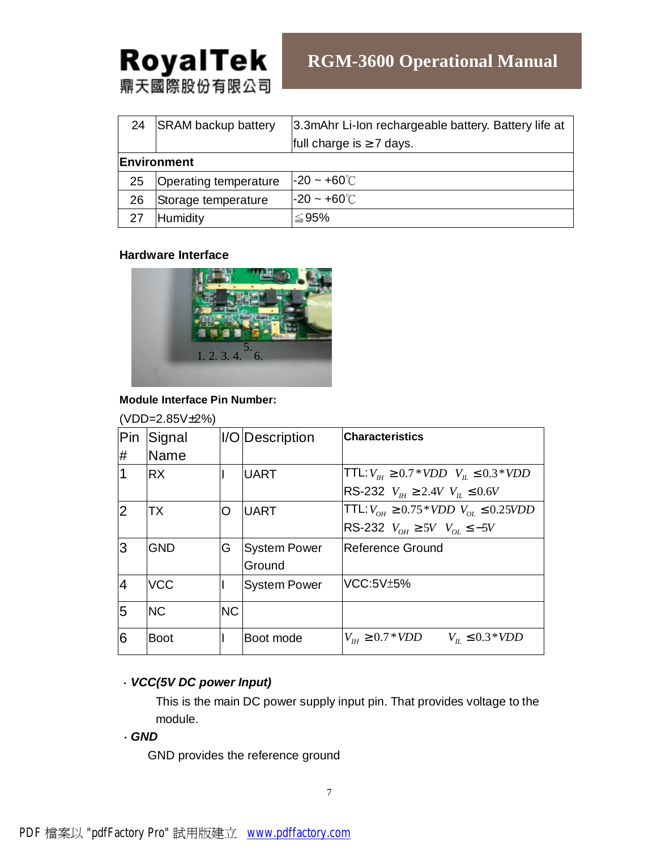| 24   | <b>SRAM backup battery</b> | 3.3mAhr Li-Ion rechargeable battery. Battery life at |  |  |
|------|----------------------------|------------------------------------------------------|--|--|
|      |                            | full charge is $\geq 7$ days.                        |  |  |
|      | Environment                |                                                      |  |  |
| 25   | Operating temperature      | $-20 \sim +60^{\circ}$ C                             |  |  |
| 26   | Storage temperature        | $-20 \sim +60^{\circ}$                               |  |  |
| - 27 | Humidity                   | ≤95%                                                 |  |  |

#### **Hardware Interface**



#### **Module Interface Pin Number:**

|                | (VDD=2.85V±2%) |           |                     |                                                      |
|----------------|----------------|-----------|---------------------|------------------------------------------------------|
|                | Pin Signal     |           | I/O Description     | <b>Characteristics</b>                               |
| #              | Name           |           |                     |                                                      |
|                | <b>RX</b>      |           | <b>UART</b>         | TTL: $V_{\mu} \ge 0.7 * VDD$ $V_{\mu} \le 0.3 * VDD$ |
|                |                |           |                     | RS-232 $V_{\mu} \ge 2.4V$ $V_{\mu} \le 0.6V$         |
| $\overline{2}$ | <b>TX</b>      | O         | <b>UART</b>         | TTL: $V_{OH} \ge 0.75*VDD$ $V_{OL} \le 0.25VDD$      |
|                |                |           |                     | RS-232 $V_{OH} \geq 5V$ $V_{OL} \leq -5V$            |
| 3              | <b>GND</b>     | G         | <b>System Power</b> | Reference Ground                                     |
|                |                |           | Ground              |                                                      |
| $\overline{A}$ | <b>VCC</b>     |           | <b>System Power</b> | <b>VCC:5V±5%</b>                                     |
| 5              | <b>NC</b>      | <b>NC</b> |                     |                                                      |
| 6              | <b>Boot</b>    |           | Boot mode           | $V_{\mu\nu} \ge 0.7 * VDD$<br>$V_n \leq 0.3*VDD$     |

## .*VCC(5V DC power Input)*

This is the main DC power supply input pin. That provides voltage to the module.

### .*GND*

GND provides the reference ground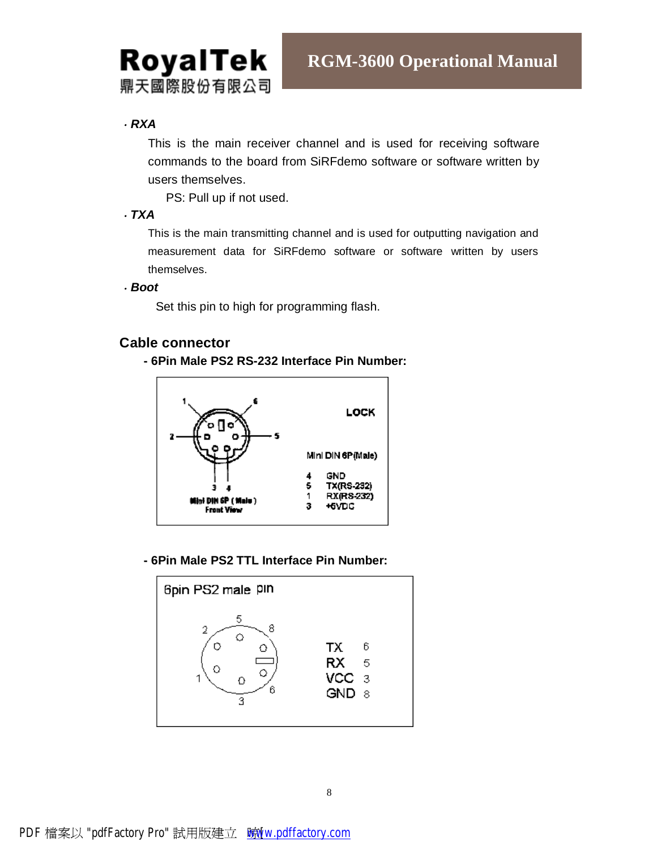

### .*RXA*

This is the main receiver channel and is used for receiving software commands to the board from SiRFdemo software or software written by users themselves.

PS: Pull up if not used.

#### .*TXA*

This is the main transmitting channel and is used for outputting navigation and measurement data for SiRFdemo software or software written by users themselves.

.*Boot* 

Set this pin to high for programming flash.

### **Cable connector**

**- 6Pin Male PS2 RS-232 Interface Pin Number:** 



**- 6Pin Male PS2 TTL Interface Pin Number:** 

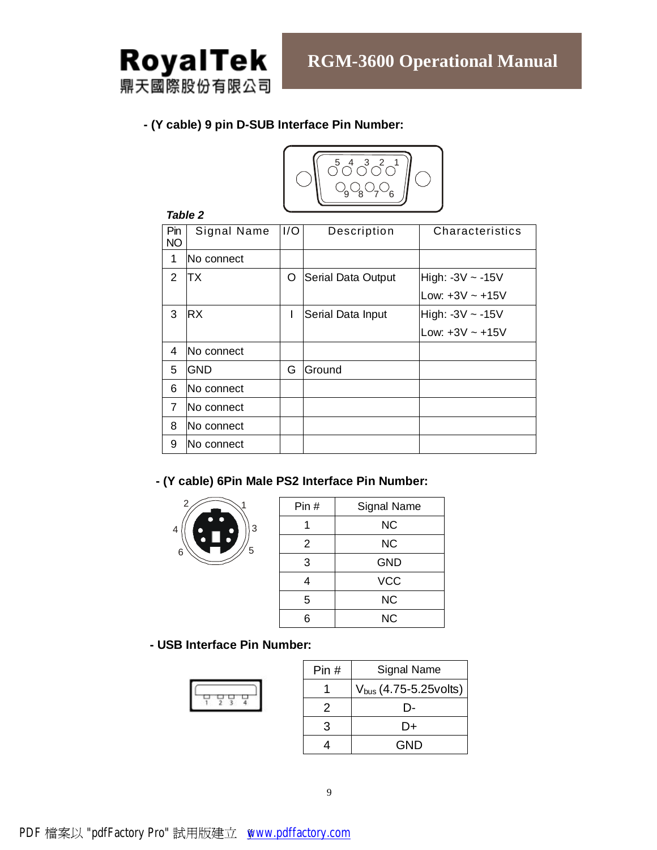

#### **- (Y cable) 9 pin D-SUB Interface Pin Number:**



#### *Table 2*

| Pin<br><b>NO</b> | Signal Name | 1/O | Description        | Characteristics      |  |  |  |
|------------------|-------------|-----|--------------------|----------------------|--|--|--|
| 1                | lNo connect |     |                    |                      |  |  |  |
| 2                | ТX          | O   | Serial Data Output | High: -3V ~ -15V     |  |  |  |
|                  |             |     |                    | Low: $+3V \sim +15V$ |  |  |  |
| 3                | <b>RX</b>   | I   | Serial Data Input  | High: -3V ~ -15V     |  |  |  |
|                  |             |     |                    | Low: $+3V \sim +15V$ |  |  |  |
| 4                | No connect  |     |                    |                      |  |  |  |
| 5                | GND         | G   | Ground             |                      |  |  |  |
| 6                | No connect  |     |                    |                      |  |  |  |
| 7                | No connect  |     |                    |                      |  |  |  |
| 8                | lNo connect |     |                    |                      |  |  |  |
| 9                | lNo connect |     |                    |                      |  |  |  |

## **- (Y cable) 6Pin Male PS2 Interface Pin Number:**



| Pin# | <b>Signal Name</b> |
|------|--------------------|
|      | <b>NC</b>          |
| 2    | <b>NC</b>          |
| 3    | <b>GND</b>         |
| 4    | <b>VCC</b>         |
| 5    | <b>NC</b>          |
| 6    | <b>NC</b>          |

#### **- USB Interface Pin Number:**

| Pin# | Signal Name                 |
|------|-----------------------------|
|      | $V_{bus}$ (4.75-5.25 volts) |
| 2    | I) –                        |
| 3    | D+                          |
|      | GND                         |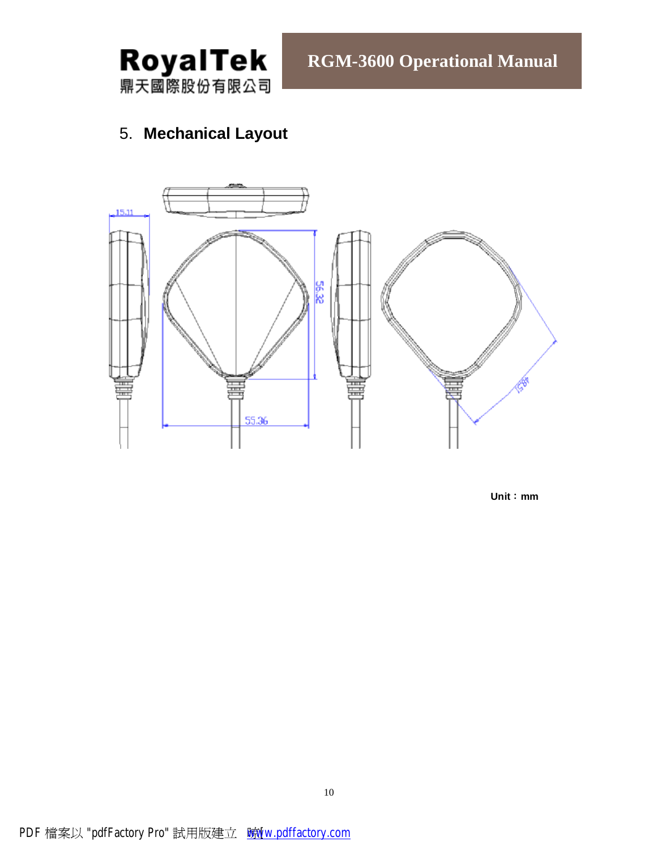

# 5. **Mechanical Layout**



**Unit**:**mm**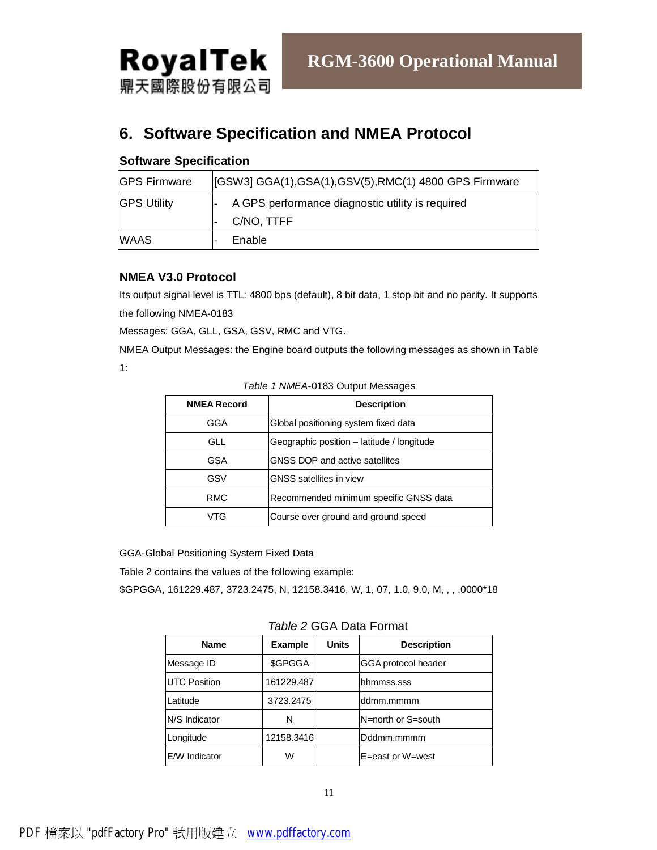

# **6. Software Specification and NMEA Protocol**

#### **Software Specification**

| <b>GPS Firmware</b> | [[GSW3] GGA(1), GSA(1), GSV(5), RMC(1) 4800 GPS Firmware |  |  |
|---------------------|----------------------------------------------------------|--|--|
| <b>GPS Utility</b>  | A GPS performance diagnostic utility is required         |  |  |
|                     | C/NO, TTFF                                               |  |  |
| <b>WAAS</b>         | Enable                                                   |  |  |

#### **NMEA V3.0 Protocol**

Its output signal level is TTL: 4800 bps (default), 8 bit data, 1 stop bit and no parity. It supports the following NMEA-0183

Messages: GGA, GLL, GSA, GSV, RMC and VTG.

NMEA Output Messages: the Engine board outputs the following messages as shown in Table 1:

| <b>NMEA Record</b> | <b>Description</b>                         |
|--------------------|--------------------------------------------|
| GGA                | Global positioning system fixed data       |
| <b>GLL</b>         | Geographic position - latitude / longitude |
| GSA                | GNSS DOP and active satellites             |
| GSV                | <b>GNSS</b> satellites in view             |
| <b>RMC</b>         | Recommended minimum specific GNSS data     |
| VTG                | Course over ground and ground speed        |

#### *Table 1 NMEA*-0183 Output Messages

GGA-Global Positioning System Fixed Data

Table 2 contains the values of the following example:

\$GPGGA, 161229.487, 3723.2475, N, 12158.3416, W, 1, 07, 1.0, 9.0, M, , , ,0000\*18

*Table 2* GGA Data Format

| <b>Name</b>          | <b>Example</b> | <b>Units</b> | <b>Description</b>  |  |  |
|----------------------|----------------|--------------|---------------------|--|--|
| Message ID           | \$GPGGA        |              | GGA protocol header |  |  |
| <b>UTC Position</b>  | 161229.487     |              | hhmmss.sss          |  |  |
| Latitude             | 3723.2475      |              | ddmm.mmmm           |  |  |
| N/S Indicator        | N              |              | N=north or S=south  |  |  |
| Longitude            | 12158.3416     |              | Dddmm.mmmm          |  |  |
| <b>E/W</b> Indicator | W              |              | E=east or W=west    |  |  |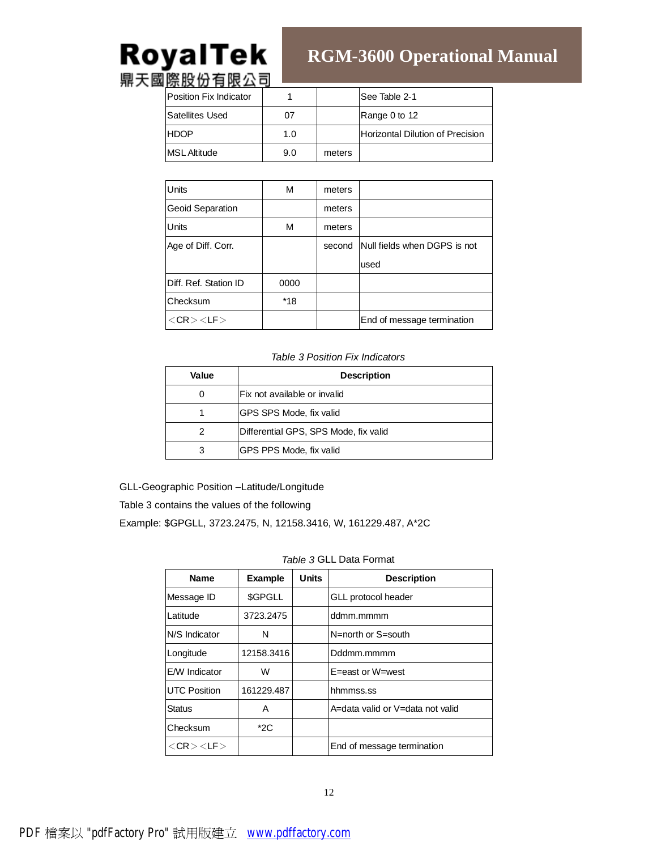# **RGM-3600 Operational Manual**

| 12.0222131222<br>Position Fix Indicator |     |        | lSee Table 2-1                           |
|-----------------------------------------|-----|--------|------------------------------------------|
| <b>Satellites Used</b>                  | 07  |        | Range 0 to 12                            |
| <b>HDOP</b>                             | 1.0 |        | <b>IHorizontal Dilution of Precision</b> |
| <b>MSL Altitude</b>                     | 9.0 | meters |                                          |

| <b>Units</b>            | М    | meters |                                     |
|-------------------------|------|--------|-------------------------------------|
| <b>Geoid Separation</b> |      | meters |                                     |
| <b>Units</b>            | М    | meters |                                     |
| Age of Diff. Corr.      |      |        | second Null fields when DGPS is not |
|                         |      |        | used                                |
| Diff. Ref. Station ID   | 0000 |        |                                     |
| <b>Checksum</b>         | *18  |        |                                     |
| $<$ CR $>$ $<$ LF $>$   |      |        | End of message termination          |

#### *Table 3 Position Fix Indicators*

| Value | <b>Description</b>                    |  |  |
|-------|---------------------------------------|--|--|
| O     | lFix not available or invalid         |  |  |
|       | <b>IGPS SPS Mode, fix valid</b>       |  |  |
| 2     | Differential GPS, SPS Mode, fix valid |  |  |
| 3     | <b>IGPS PPS Mode, fix valid</b>       |  |  |

GLL-Geographic Position –Latitude/Longitude

Table 3 contains the values of the following

Example: \$GPGLL, 3723.2475, N, 12158.3416, W, 161229.487, A\*2C

#### *Table 3* GLL Data Format

| <b>Name</b>           | <b>Example</b> | <b>Units</b> | <b>Description</b>               |
|-----------------------|----------------|--------------|----------------------------------|
| Message ID            | \$GPGLL        |              | GLL protocol header              |
| Latitude              | 3723.2475      |              | ddmm.mmmm                        |
| N/S Indicator         | N              |              | N=north or S=south               |
| Longitude             | 12158.3416     |              | Dddmm.mmmm                       |
| <b>E/W</b> Indicator  | W              |              | E=east or W=west                 |
| <b>UTC Position</b>   | 161229.487     |              | hhmmss.ss                        |
| <b>Status</b>         | Α              |              | A=data valid or V=data not valid |
| Checksum              | $*2C$          |              |                                  |
| $<$ CR $>$ $<$ LF $>$ |                |              | End of message termination       |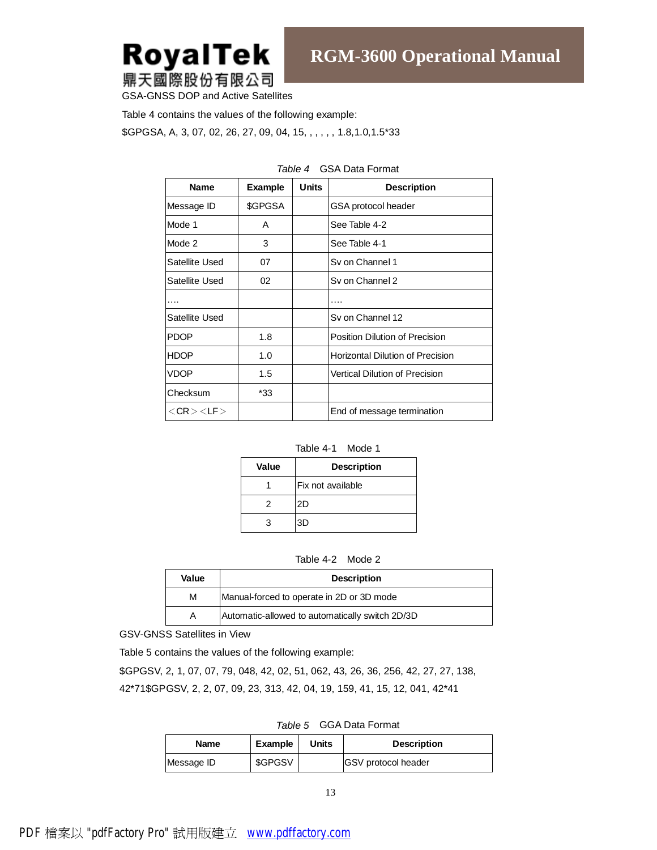

GSA-GNSS DOP and Active Satellites

Table 4 contains the values of the following example:

\$GPGSA, A, 3, 07, 02, 26, 27, 09, 04, 15, , , , , , 1.8,1.0,1.5\*33

| <b>Name</b>           | <b>Example</b> | Units | <b>Description</b>                      |
|-----------------------|----------------|-------|-----------------------------------------|
| Message ID            | \$GPGSA        |       | GSA protocol header                     |
| Mode 1                | A              |       | See Table 4-2                           |
| Mode 2                | 3              |       | See Table 4-1                           |
| Satellite Used        | 07             |       | Sv on Channel 1                         |
| Satellite Used        | 02             |       | Sv on Channel 2                         |
|                       |                |       |                                         |
| Satellite Used        |                |       | Sy on Channel 12                        |
| <b>PDOP</b>           | 1.8            |       | Position Dilution of Precision          |
| <b>HDOP</b>           | 1.0            |       | <b>Horizontal Dilution of Precision</b> |
| VDOP                  | 1.5            |       | Vertical Dilution of Precision          |
| Checksum              | *33            |       |                                         |
| $<$ CR $>$ $<$ LF $>$ |                |       | End of message termination              |

#### *Table 4* GSA Data Format

| Table 4-1 | Mode 1 |
|-----------|--------|
|-----------|--------|

| Value | <b>Description</b> |  |
|-------|--------------------|--|
|       | lFix not available |  |
|       | 2D                 |  |
|       | 3D                 |  |

| Table 4-2 | Mode 2 |
|-----------|--------|
|-----------|--------|

| Value | <b>Description</b>                              |  |
|-------|-------------------------------------------------|--|
| М     | Manual-forced to operate in 2D or 3D mode       |  |
| Α     | Automatic-allowed to automatically switch 2D/3D |  |

GSV-GNSS Satellites in View

Table 5 contains the values of the following example:

\$GPGSV, 2, 1, 07, 07, 79, 048, 42, 02, 51, 062, 43, 26, 36, 256, 42, 27, 27, 138, 42\*71\$GPGSV, 2, 2, 07, 09, 23, 313, 42, 04, 19, 159, 41, 15, 12, 041, 42\*41

*Table 5* GGA Data Format

| <b>Name</b> | Example | Units | <b>Description</b>         |
|-------------|---------|-------|----------------------------|
| Message ID  | \$GPGSV |       | <b>GSV</b> protocol header |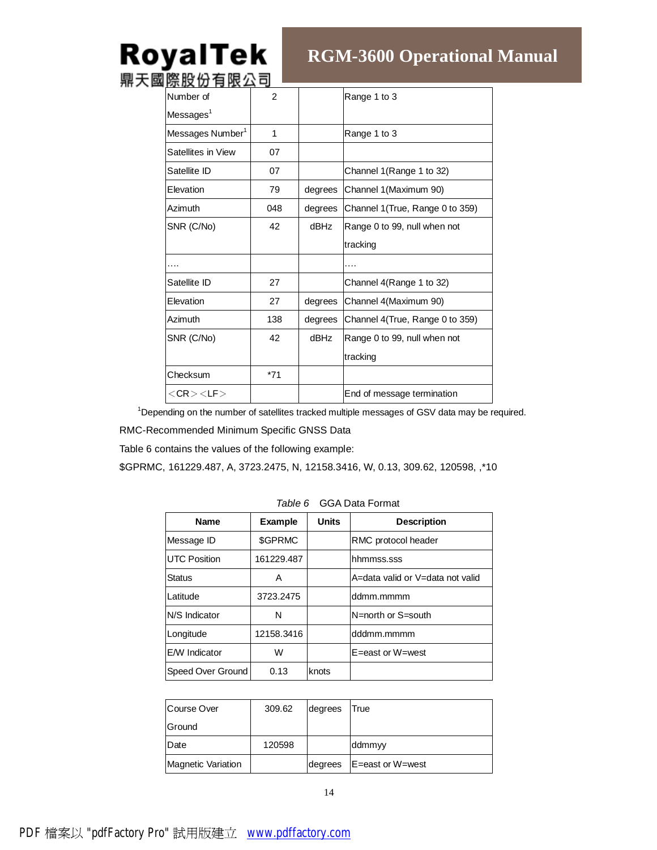# **RGM-3600 Operational Manual**

| ᄧᄧᇖᇄᄇᄣᅀ |         |                                  |
|---------|---------|----------------------------------|
| 2       |         | Range 1 to 3                     |
|         |         |                                  |
| 1       |         | Range 1 to 3                     |
| 07      |         |                                  |
| 07      |         | Channel 1 (Range 1 to 32)        |
| 79      | degrees | Channel 1 (Maximum 90)           |
| 048     | degrees | Channel 1 (True, Range 0 to 359) |
| 42      | dBHz    | Range 0 to 99, null when not     |
|         |         | tracking                         |
|         |         |                                  |
| 27      |         | Channel 4(Range 1 to 32)         |
| 27      | degrees | Channel 4(Maximum 90)            |
| 138     | degrees | Channel 4(True, Range 0 to 359)  |
| 42      | dBHz    | Range 0 to 99, null when not     |
|         |         | tracking                         |
| $*71$   |         |                                  |
|         |         | End of message termination       |
|         |         |                                  |

<sup>1</sup>Depending on the number of satellites tracked multiple messages of GSV data may be required.

RMC-Recommended Minimum Specific GNSS Data

Table 6 contains the values of the following example:

\$GPRMC, 161229.487, A, 3723.2475, N, 12158.3416, W, 0.13, 309.62, 120598, ,\*10

| <b>Name</b>          | <b>Example</b> | Units | <b>Description</b>               |
|----------------------|----------------|-------|----------------------------------|
| Message ID           | \$GPRMC        |       | <b>RMC</b> protocol header       |
| <b>UTC Position</b>  | 161229.487     |       | hhmmss.sss                       |
| Status               | A              |       | A=data valid or V=data not valid |
| Latitude             | 3723.2475      |       | ddmm.mmmm                        |
| N/S Indicator        | N              |       | N=north or S=south               |
| Longitude            | 12158.3416     |       | dddmm.mmmm                       |
| <b>E/W</b> Indicator | W              |       | $E = east$ or $W = west$         |
| Speed Over Ground    | 0.13           | knots |                                  |

*Table 6* GGA Data Format

| Course Over               | 309.62 | degrees | True             |
|---------------------------|--------|---------|------------------|
| Ground                    |        |         |                  |
| Date                      | 120598 |         | ddmmyy           |
| <b>Magnetic Variation</b> |        | degrees | E=east or W=west |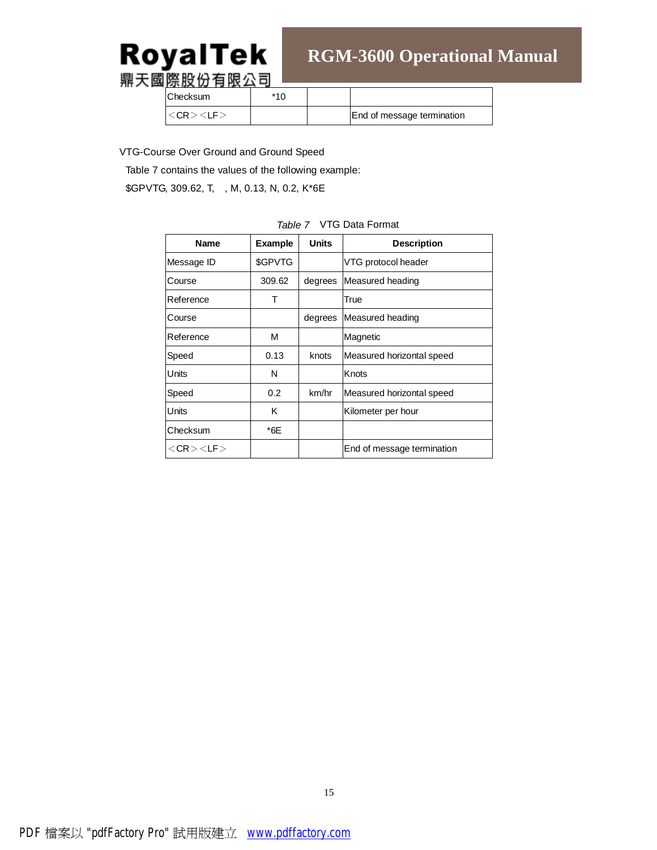# RoyalTek

# **RGM-3600 Operational Manual**

鼎天國際股份有限公司

Checksum | \*10

<CR><LF>  $\vert$  End of message termination

VTG-Course Over Ground and Ground Speed

Table 7 contains the values of the following example:

\$GPVTG, 309.62, T, , M, 0.13, N, 0.2, K\*6E

| Name                  | <b>Example</b> | <b>Units</b> | <b>Description</b>         |
|-----------------------|----------------|--------------|----------------------------|
| Message ID            | \$GPVTG        |              | VTG protocol header        |
| Course                | 309.62         | degrees      | Measured heading           |
| Reference             | Т              |              | True                       |
| Course                |                | degrees      | Measured heading           |
| Reference             | м              |              | Magnetic                   |
| Speed                 | 0.13           | knots        | Measured horizontal speed  |
| Units                 | N              |              | Knots                      |
| Speed                 | 0.2            | km/hr        | Measured horizontal speed  |
| Units                 | Κ              |              | Kilometer per hour         |
| Checksum              | *6E            |              |                            |
| $<$ CR $>$ $<$ LF $>$ |                |              | End of message termination |

#### *Table 7* VTG Data Format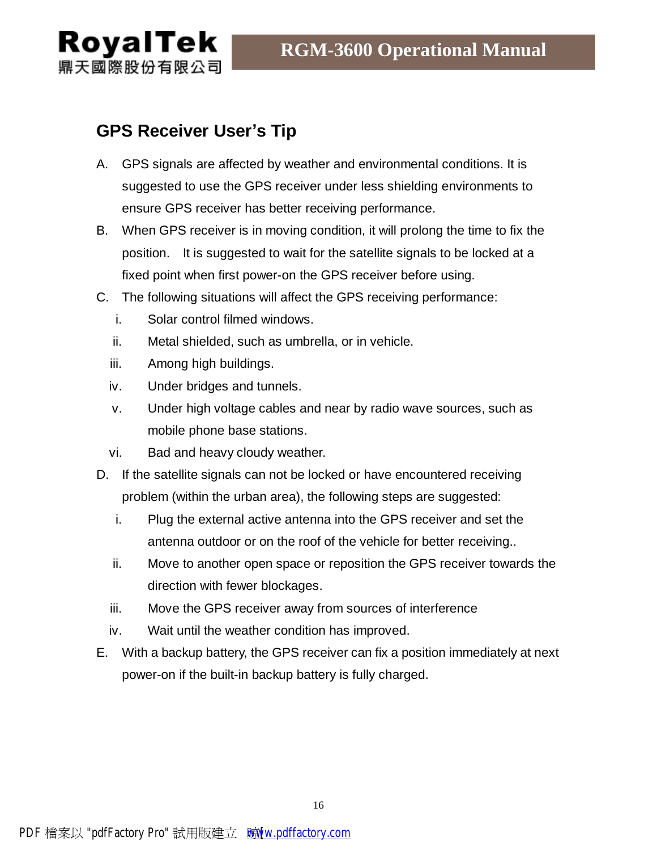

# **GPS Receiver User's Tip**

- A. GPS signals are affected by weather and environmental conditions. It is suggested to use the GPS receiver under less shielding environments to ensure GPS receiver has better receiving performance.
- B. When GPS receiver is in moving condition, it will prolong the time to fix the position. It is suggested to wait for the satellite signals to be locked at a fixed point when first power-on the GPS receiver before using.
- C. The following situations will affect the GPS receiving performance:
	- i. Solar control filmed windows.
	- ii. Metal shielded, such as umbrella, or in vehicle.
	- iii. Among high buildings.
	- iv. Under bridges and tunnels.
	- v. Under high voltage cables and near by radio wave sources, such as mobile phone base stations.
	- vi. Bad and heavy cloudy weather.
- D. If the satellite signals can not be locked or have encountered receiving problem (within the urban area), the following steps are suggested:
	- i. Plug the external active antenna into the GPS receiver and set the antenna outdoor or on the roof of the vehicle for better receiving..
	- ii. Move to another open space or reposition the GPS receiver towards the direction with fewer blockages.
	- iii. Move the GPS receiver away from sources of interference
	- iv. Wait until the weather condition has improved.
- E. With a backup battery, the GPS receiver can fix a position immediately at next power-on if the built-in backup battery is fully charged.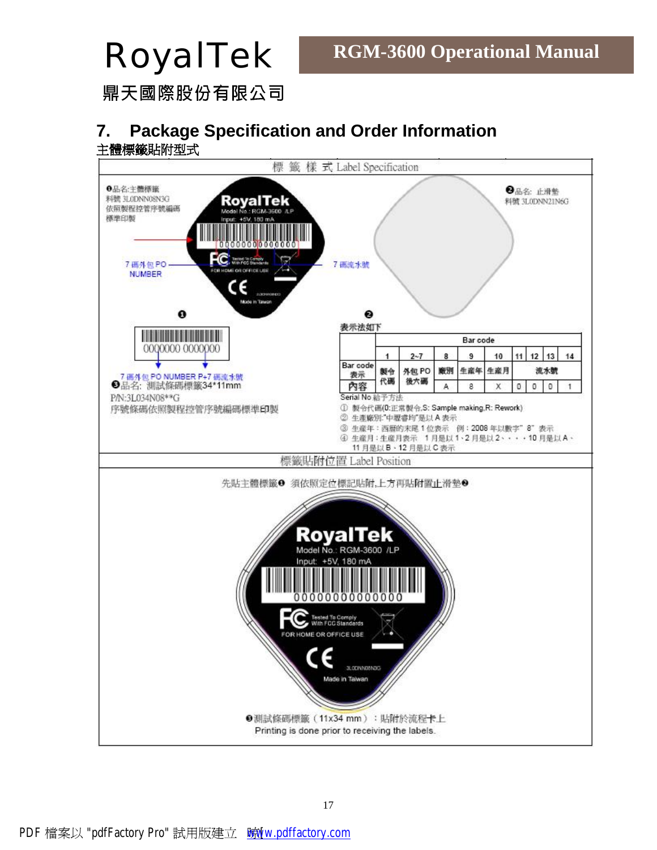鼎天國際股份有限公司

# **7. Package Specification and Order Information** 主體標籤貼附型式

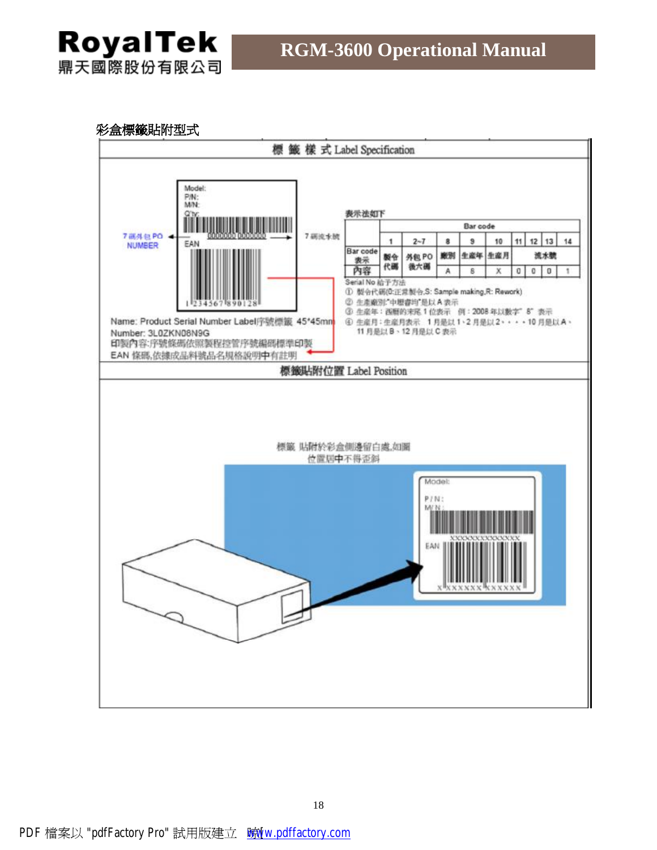# 彩盒標籤貼附型式

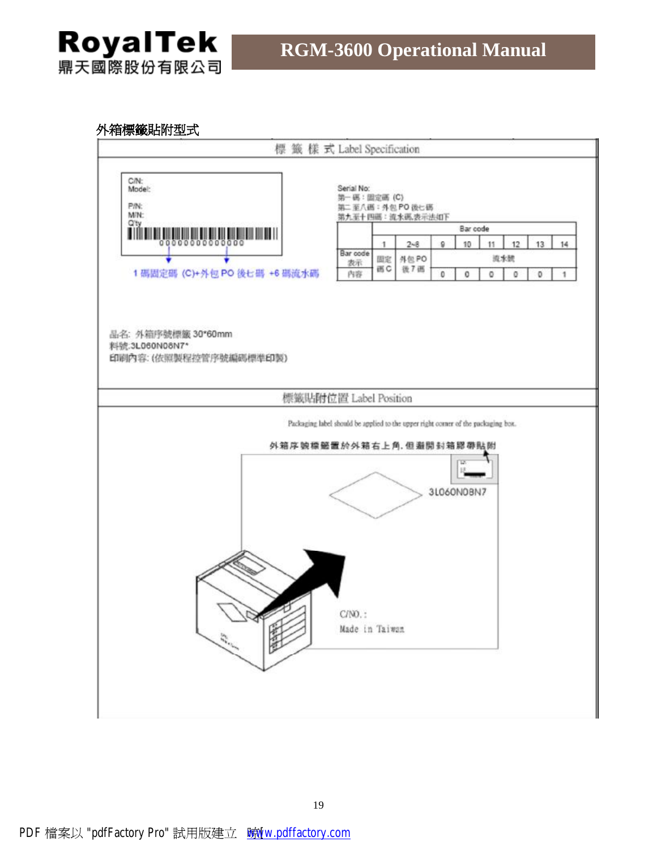# 外箱標籤貼附型式

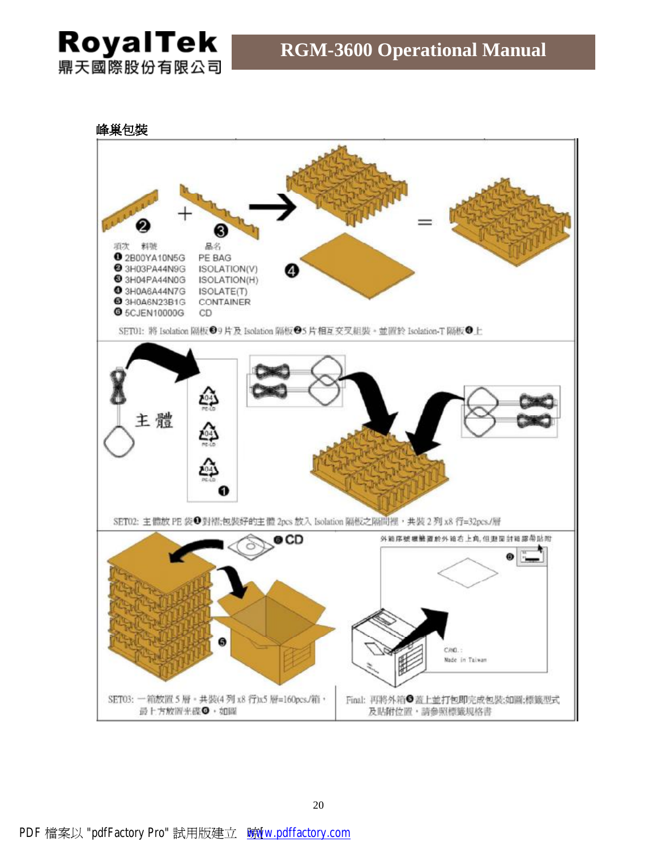峰巢包裝

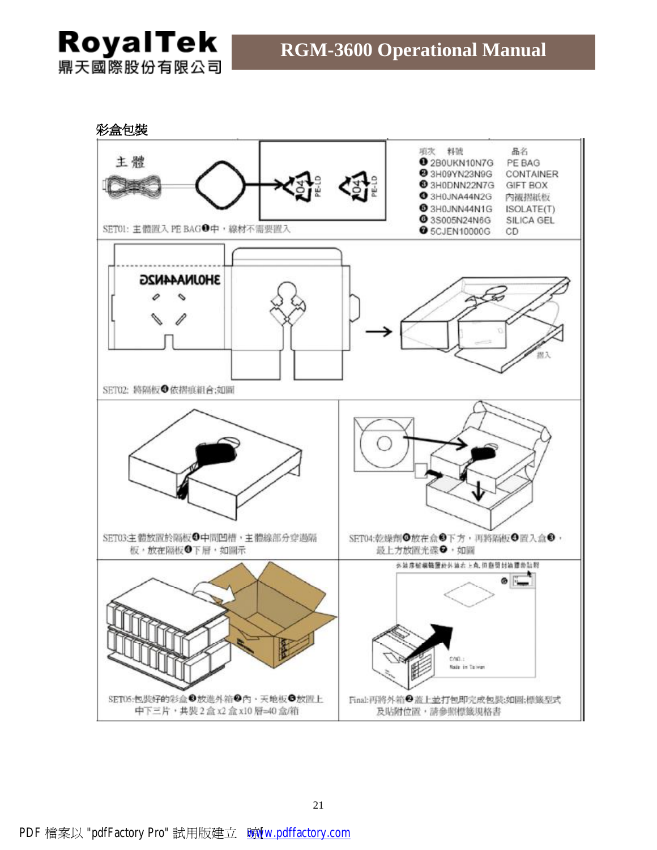彩盒包裝 項次 料號 品名 主體 2B0UKN10N7G PE BAG 3H09YN23N9G CONTAINER 3H0DNN22N7G GIFT BOX ● 3H0JNA44N2G 内视摺紙板 3H0JNN44N1G ISOLATE(T) **@3S005N24N6G** SILICA GEL SET01: 主體置入 PE BAG●中,線材不需要置入 **O** 5CJEN10000G CD 3HOJNA44N2G SET02: 將隔板●依摺痕組合;如圖 SET03:主體放置於隔板●中間凹槽,主體線部分穿過隔 SET04:乾燥劑◎放在盒◎下方,再將隔板◎置入盒◎, 板·放在隔板●下層·如圖示 最上方放置光碟●・如圖 外站序板模链置於外装右上角, 但数项封油提带贴则 ۵ cng. **Nada in Taiwan** SET05:包装好的彩盒 <sup>3</sup>放進外箱 3 內·天地板 5 放置上 Final:再將外箱●蓋上並打包即完成包裝;如圖;標籤型式 中下三片·共裝2盒x2盒x10層=40盒/箱 及貼附位置,請參照標籤規格書